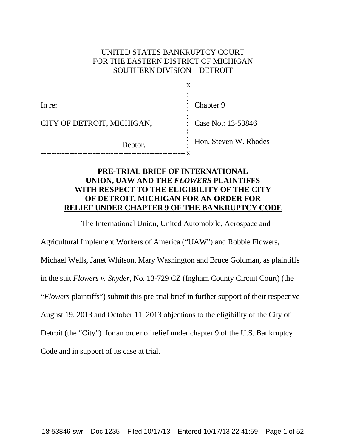# UNITED STATES BANKRUPTCY COURT FOR THE EASTERN DISTRICT OF MICHIGAN SOUTHERN DIVISION – DETROIT

| In re:                     | Chapter 9              |
|----------------------------|------------------------|
| CITY OF DETROIT, MICHIGAN, | : Case No.: $13-53846$ |
| Debtor.                    | Hon. Steven W. Rhodes  |

# **PRE-TRIAL BRIEF OF INTERNATIONAL UNION, UAW AND THE** *FLOWERS* **PLAINTIFFS WITH RESPECT TO THE ELIGIBILITY OF THE CITY OF DETROIT, MICHIGAN FOR AN ORDER FOR RELIEF UNDER CHAPTER 9 OF THE BANKRUPTCY CODE**

The International Union, United Automobile, Aerospace and

Agricultural Implement Workers of America ("UAW") and Robbie Flowers,

Michael Wells, Janet Whitson, Mary Washington and Bruce Goldman, as plaintiffs

in the suit *Flowers v. Snyder*, No. 13-729 CZ (Ingham County Circuit Court) (the

"*Flowers* plaintiffs") submit this pre-trial brief in further support of their respective

August 19, 2013 and October 11, 2013 objections to the eligibility of the City of

Detroit (the "City") for an order of relief under chapter 9 of the U.S. Bankruptcy

Code and in support of its case at trial.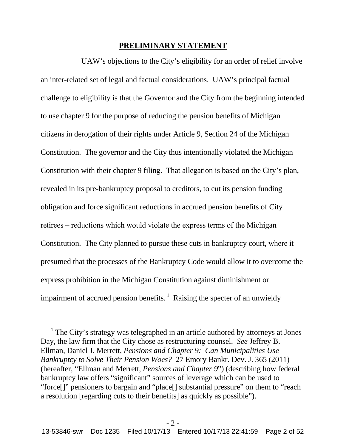### **PRELIMINARY STATEMENT**

UAW's objections to the City's eligibility for an order of relief involve an inter-related set of legal and factual considerations. UAW's principal factual challenge to eligibility is that the Governor and the City from the beginning intended to use chapter 9 for the purpose of reducing the pension benefits of Michigan citizens in derogation of their rights under Article 9, Section 24 of the Michigan Constitution. The governor and the City thus intentionally violated the Michigan Constitution with their chapter 9 filing. That allegation is based on the City's plan, revealed in its pre-bankruptcy proposal to creditors, to cut its pension funding obligation and force significant reductions in accrued pension benefits of City retirees – reductions which would violate the express terms of the Michigan Constitution. The City planned to pursue these cuts in bankruptcy court, where it presumed that the processes of the Bankruptcy Code would allow it to overcome the express prohibition in the Michigan Constitution against diminishment or impairment of accrued pension benefits.<sup>1</sup> Raising the specter of an unwieldy

<sup>&</sup>lt;sup>1</sup> The City's strategy was telegraphed in an article authored by attorneys at Jones Day, the law firm that the City chose as restructuring counsel. *See* Jeffrey B. Ellman, Daniel J. Merrett, *Pensions and Chapter 9: Can Municipalities Use Bankruptcy to Solve Their Pension Woes?* 27 Emory Bankr. Dev. J. 365 (2011) (hereafter, "Ellman and Merrett, *Pensions and Chapter 9*") (describing how federal bankruptcy law offers "significant" sources of leverage which can be used to "force[]" pensioners to bargain and "place[] substantial pressure" on them to "reach a resolution [regarding cuts to their benefits] as quickly as possible").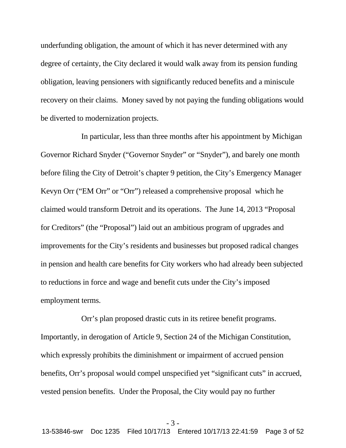underfunding obligation, the amount of which it has never determined with any degree of certainty, the City declared it would walk away from its pension funding obligation, leaving pensioners with significantly reduced benefits and a miniscule recovery on their claims. Money saved by not paying the funding obligations would be diverted to modernization projects.

In particular, less than three months after his appointment by Michigan Governor Richard Snyder ("Governor Snyder" or "Snyder"), and barely one month before filing the City of Detroit's chapter 9 petition, the City's Emergency Manager Kevyn Orr ("EM Orr" or "Orr") released a comprehensive proposal which he claimed would transform Detroit and its operations. The June 14, 2013 "Proposal for Creditors" (the "Proposal") laid out an ambitious program of upgrades and improvements for the City's residents and businesses but proposed radical changes in pension and health care benefits for City workers who had already been subjected to reductions in force and wage and benefit cuts under the City's imposed employment terms.

Orr's plan proposed drastic cuts in its retiree benefit programs. Importantly, in derogation of Article 9, Section 24 of the Michigan Constitution, which expressly prohibits the diminishment or impairment of accrued pension benefits, Orr's proposal would compel unspecified yet "significant cuts" in accrued, vested pension benefits. Under the Proposal, the City would pay no further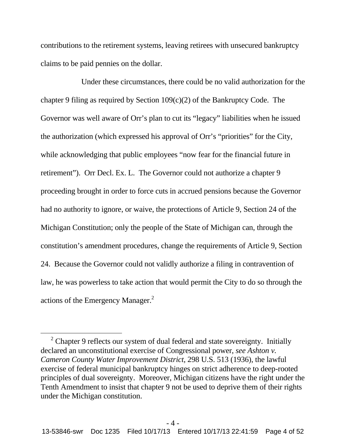contributions to the retirement systems, leaving retirees with unsecured bankruptcy claims to be paid pennies on the dollar.

Under these circumstances, there could be no valid authorization for the chapter 9 filing as required by Section 109(c)(2) of the Bankruptcy Code. The Governor was well aware of Orr's plan to cut its "legacy" liabilities when he issued the authorization (which expressed his approval of Orr's "priorities" for the City, while acknowledging that public employees "now fear for the financial future in retirement"). Orr Decl. Ex. L. The Governor could not authorize a chapter 9 proceeding brought in order to force cuts in accrued pensions because the Governor had no authority to ignore, or waive, the protections of Article 9, Section 24 of the Michigan Constitution; only the people of the State of Michigan can, through the constitution's amendment procedures, change the requirements of Article 9, Section 24. Because the Governor could not validly authorize a filing in contravention of law, he was powerless to take action that would permit the City to do so through the actions of the Emergency Manager.<sup>2</sup>

 $2$  Chapter 9 reflects our system of dual federal and state sovereignty. Initially declared an unconstitutional exercise of Congressional power, *see Ashton v. Cameron County Water Improvement District*, 298 U.S. 513 (1936), the lawful exercise of federal municipal bankruptcy hinges on strict adherence to deep-rooted principles of dual sovereignty. Moreover, Michigan citizens have the right under the Tenth Amendment to insist that chapter 9 not be used to deprive them of their rights under the Michigan constitution.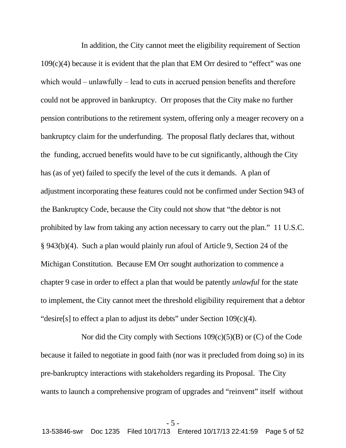In addition, the City cannot meet the eligibility requirement of Section 109(c)(4) because it is evident that the plan that EM Orr desired to "effect" was one which would  $-$  unlawfully  $-$  lead to cuts in accrued pension benefits and therefore could not be approved in bankruptcy. Orr proposes that the City make no further pension contributions to the retirement system, offering only a meager recovery on a bankruptcy claim for the underfunding. The proposal flatly declares that, without the funding, accrued benefits would have to be cut significantly, although the City has (as of yet) failed to specify the level of the cuts it demands. A plan of adjustment incorporating these features could not be confirmed under Section 943 of the Bankruptcy Code, because the City could not show that "the debtor is not prohibited by law from taking any action necessary to carry out the plan." 11 U.S.C. § 943(b)(4). Such a plan would plainly run afoul of Article 9, Section 24 of the Michigan Constitution. Because EM Orr sought authorization to commence a chapter 9 case in order to effect a plan that would be patently *unlawful* for the state to implement, the City cannot meet the threshold eligibility requirement that a debtor "desire[s] to effect a plan to adjust its debts" under Section 109(c)(4).

Nor did the City comply with Sections 109(c)(5)(B) or (C) of the Code because it failed to negotiate in good faith (nor was it precluded from doing so) in its pre-bankruptcy interactions with stakeholders regarding its Proposal. The City wants to launch a comprehensive program of upgrades and "reinvent" itself without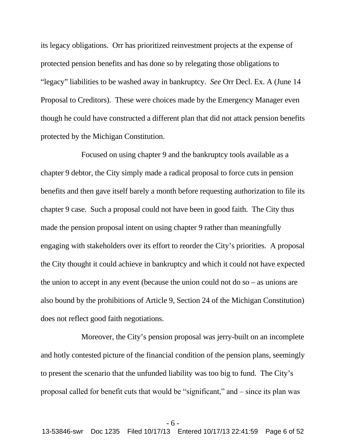its legacy obligations. Orr has prioritized reinvestment projects at the expense of protected pension benefits and has done so by relegating those obligations to "legacy" liabilities to be washed away in bankruptcy. *See* Orr Decl. Ex. A (June 14 Proposal to Creditors). These were choices made by the Emergency Manager even though he could have constructed a different plan that did not attack pension benefits protected by the Michigan Constitution.

Focused on using chapter 9 and the bankruptcy tools available as a chapter 9 debtor, the City simply made a radical proposal to force cuts in pension benefits and then gave itself barely a month before requesting authorization to file its chapter 9 case. Such a proposal could not have been in good faith. The City thus made the pension proposal intent on using chapter 9 rather than meaningfully engaging with stakeholders over its effort to reorder the City's priorities. A proposal the City thought it could achieve in bankruptcy and which it could not have expected the union to accept in any event (because the union could not do so – as unions are also bound by the prohibitions of Article 9, Section 24 of the Michigan Constitution) does not reflect good faith negotiations.

Moreover, the City's pension proposal was jerry-built on an incomplete and hotly contested picture of the financial condition of the pension plans, seemingly to present the scenario that the unfunded liability was too big to fund. The City's proposal called for benefit cuts that would be "significant," and ‒ since its plan was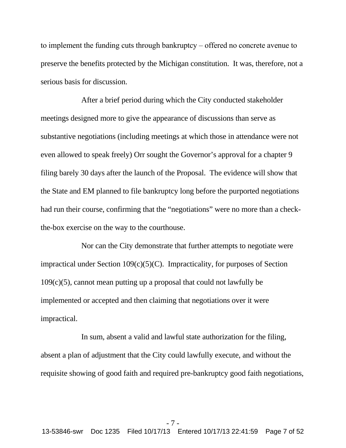to implement the funding cuts through bankruptcy – offered no concrete avenue to preserve the benefits protected by the Michigan constitution. It was, therefore, not a serious basis for discussion.

After a brief period during which the City conducted stakeholder meetings designed more to give the appearance of discussions than serve as substantive negotiations (including meetings at which those in attendance were not even allowed to speak freely) Orr sought the Governor's approval for a chapter 9 filing barely 30 days after the launch of the Proposal. The evidence will show that the State and EM planned to file bankruptcy long before the purported negotiations had run their course, confirming that the "negotiations" were no more than a checkthe-box exercise on the way to the courthouse.

Nor can the City demonstrate that further attempts to negotiate were impractical under Section 109(c)(5)(C). Impracticality, for purposes of Section  $109(c)(5)$ , cannot mean putting up a proposal that could not lawfully be implemented or accepted and then claiming that negotiations over it were impractical.

In sum, absent a valid and lawful state authorization for the filing, absent a plan of adjustment that the City could lawfully execute, and without the requisite showing of good faith and required pre-bankruptcy good faith negotiations,

- 7 - 13-53846-swr Doc 1235 Filed 10/17/13 Entered 10/17/13 22:41:59 Page 7 of 52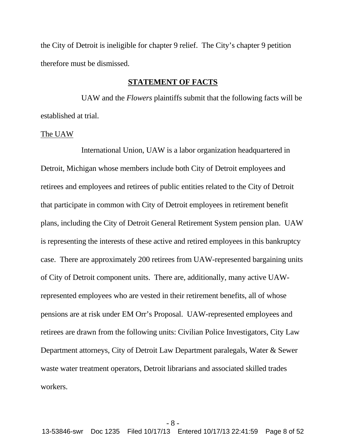the City of Detroit is ineligible for chapter 9 relief. The City's chapter 9 petition therefore must be dismissed.

## **STATEMENT OF FACTS**

UAW and the *Flowers* plaintiffs submit that the following facts will be established at trial.

### The UAW

International Union, UAW is a labor organization headquartered in Detroit, Michigan whose members include both City of Detroit employees and retirees and employees and retirees of public entities related to the City of Detroit that participate in common with City of Detroit employees in retirement benefit plans, including the City of Detroit General Retirement System pension plan. UAW is representing the interests of these active and retired employees in this bankruptcy case. There are approximately 200 retirees from UAW-represented bargaining units of City of Detroit component units. There are, additionally, many active UAWrepresented employees who are vested in their retirement benefits, all of whose pensions are at risk under EM Orr's Proposal. UAW-represented employees and retirees are drawn from the following units: Civilian Police Investigators, City Law Department attorneys, City of Detroit Law Department paralegals, Water & Sewer waste water treatment operators, Detroit librarians and associated skilled trades workers.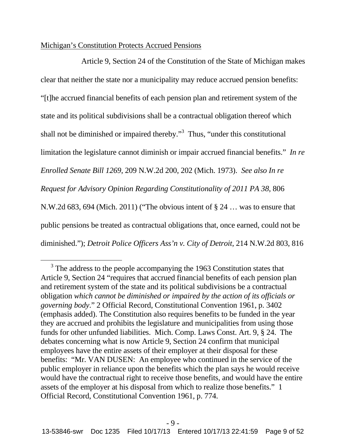## Michigan's Constitution Protects Accrued Pensions

Article 9, Section 24 of the Constitution of the State of Michigan makes clear that neither the state nor a municipality may reduce accrued pension benefits: "[t]he accrued financial benefits of each pension plan and retirement system of the state and its political subdivisions shall be a contractual obligation thereof which shall not be diminished or impaired thereby."<sup>3</sup> Thus, "under this constitutional limitation the legislature cannot diminish or impair accrued financial benefits." *In re Enrolled Senate Bill 1269*, 209 N.W.2d 200, 202 (Mich. 1973). *See also In re Request for Advisory Opinion Regarding Constitutionality of 2011 PA 38*, 806 N.W.2d 683, 694 (Mich. 2011) ("The obvious intent of § 24 … was to ensure that public pensions be treated as contractual obligations that, once earned, could not be diminished."); *Detroit Police Officers Ass'n v. City of Detroit*, 214 N.W.2d 803, 816

<sup>&</sup>lt;sup>3</sup> The address to the people accompanying the 1963 Constitution states that Article 9, Section 24 "requires that accrued financial benefits of each pension plan and retirement system of the state and its political subdivisions be a contractual obligation *which cannot be diminished or impaired by the action of its officials or governing body*." 2 Official Record, Constitutional Convention 1961, p. 3402 (emphasis added). The Constitution also requires benefits to be funded in the year they are accrued and prohibits the legislature and municipalities from using those funds for other unfunded liabilities. Mich. Comp. Laws Const. Art. 9, § 24. The debates concerning what is now Article 9, Section 24 confirm that municipal employees have the entire assets of their employer at their disposal for these benefits: "Mr. VAN DUSEN: An employee who continued in the service of the public employer in reliance upon the benefits which the plan says he would receive would have the contractual right to receive those benefits, and would have the entire assets of the employer at his disposal from which to realize those benefits." 1 Official Record, Constitutional Convention 1961, p. 774.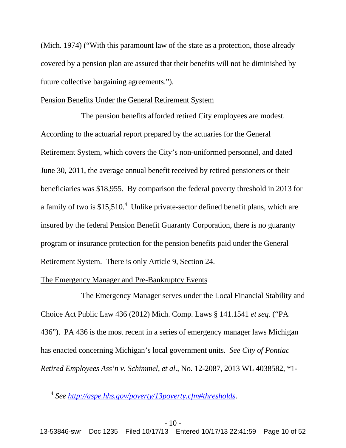(Mich. 1974) ("With this paramount law of the state as a protection, those already covered by a pension plan are assured that their benefits will not be diminished by future collective bargaining agreements.").

## Pension Benefits Under the General Retirement System

The pension benefits afforded retired City employees are modest. According to the actuarial report prepared by the actuaries for the General Retirement System, which covers the City's non-uniformed personnel, and dated June 30, 2011, the average annual benefit received by retired pensioners or their beneficiaries was \$18,955. By comparison the federal poverty threshold in 2013 for a family of two is  $$15,510<sup>4</sup>$  Unlike private-sector defined benefit plans, which are insured by the federal Pension Benefit Guaranty Corporation, there is no guaranty program or insurance protection for the pension benefits paid under the General Retirement System. There is only Article 9, Section 24.

## The Emergency Manager and Pre-Bankruptcy Events

The Emergency Manager serves under the Local Financial Stability and Choice Act Public Law 436 (2012) Mich. Comp. Laws § 141.1541 *et seq.* ("PA 436"). PA 436 is the most recent in a series of emergency manager laws Michigan has enacted concerning Michigan's local government units. *See City of Pontiac Retired Employees Ass'n v. Schimmel, et al*., No. 12-2087, 2013 WL 4038582, \*1-

<sup>4</sup> *See http://aspe.hhs.gov/poverty/13poverty.cfm#thresholds*.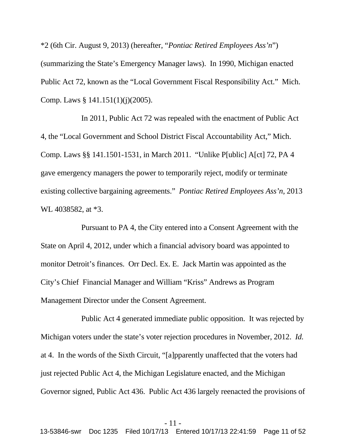\*2 (6th Cir. August 9, 2013) (hereafter, "*Pontiac Retired Employees Ass'n*") (summarizing the State's Emergency Manager laws). In 1990, Michigan enacted Public Act 72, known as the "Local Government Fiscal Responsibility Act." Mich. Comp. Laws § 141.151(1)(j)(2005).

In 2011, Public Act 72 was repealed with the enactment of Public Act 4, the "Local Government and School District Fiscal Accountability Act," Mich. Comp. Laws §§ 141.1501-1531, in March 2011. "Unlike P[ublic] A[ct] 72, PA 4 gave emergency managers the power to temporarily reject, modify or terminate existing collective bargaining agreements." *Pontiac Retired Employees Ass'n*, 2013 WL 4038582, at \*3.

Pursuant to PA 4, the City entered into a Consent Agreement with the State on April 4, 2012, under which a financial advisory board was appointed to monitor Detroit's finances. Orr Decl. Ex. E. Jack Martin was appointed as the City's Chief Financial Manager and William "Kriss" Andrews as Program Management Director under the Consent Agreement.

Public Act 4 generated immediate public opposition. It was rejected by Michigan voters under the state's voter rejection procedures in November, 2012. *Id.* at 4. In the words of the Sixth Circuit, "[a]pparently unaffected that the voters had just rejected Public Act 4, the Michigan Legislature enacted, and the Michigan Governor signed, Public Act 436. Public Act 436 largely reenacted the provisions of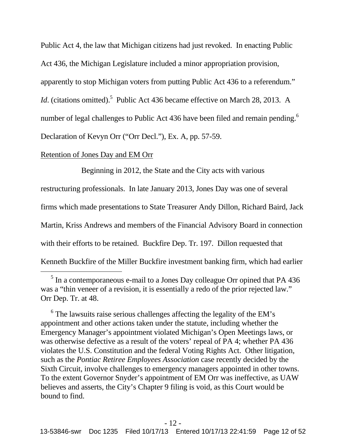Public Act 4, the law that Michigan citizens had just revoked. In enacting Public Act 436, the Michigan Legislature included a minor appropriation provision, apparently to stop Michigan voters from putting Public Act 436 to a referendum." *Id*. (citations omitted).<sup>5</sup> Public Act 436 became effective on March 28, 2013. A number of legal challenges to Public Act 436 have been filed and remain pending.<sup>6</sup> Declaration of Kevyn Orr ("Orr Decl."), Ex. A, pp. 57-59.

## Retention of Jones Day and EM Orr

Beginning in 2012, the State and the City acts with various

restructuring professionals. In late January 2013, Jones Day was one of several

firms which made presentations to State Treasurer Andy Dillon, Richard Baird, Jack

Martin, Kriss Andrews and members of the Financial Advisory Board in connection

with their efforts to be retained. Buckfire Dep. Tr. 197. Dillon requested that

Kenneth Buckfire of the Miller Buckfire investment banking firm, which had earlier

<sup>&</sup>lt;sup>5</sup> In a contemporaneous e-mail to a Jones Day colleague Orr opined that PA 436 was a "thin veneer of a revision, it is essentially a redo of the prior rejected law." Orr Dep. Tr. at 48.

 $6$  The lawsuits raise serious challenges affecting the legality of the EM's appointment and other actions taken under the statute, including whether the Emergency Manager's appointment violated Michigan's Open Meetings laws, or was otherwise defective as a result of the voters' repeal of PA 4; whether PA 436 violates the U.S. Constitution and the federal Voting Rights Act. Other litigation, such as the *Pontiac Retiree Employees Association* case recently decided by the Sixth Circuit, involve challenges to emergency managers appointed in other towns. To the extent Governor Snyder's appointment of EM Orr was ineffective, as UAW believes and asserts, the City's Chapter 9 filing is void, as this Court would be bound to find.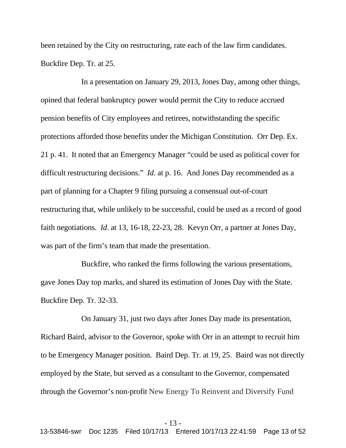been retained by the City on restructuring, rate each of the law firm candidates. Buckfire Dep. Tr. at 25.

In a presentation on January 29, 2013, Jones Day, among other things, opined that federal bankruptcy power would permit the City to reduce accrued pension benefits of City employees and retirees, notwithstanding the specific protections afforded those benefits under the Michigan Constitution. Orr Dep. Ex. 21 p. 41. It noted that an Emergency Manager "could be used as political cover for difficult restructuring decisions." *Id*. at p. 16. And Jones Day recommended as a part of planning for a Chapter 9 filing pursuing a consensual out-of-court restructuring that, while unlikely to be successful, could be used as a record of good faith negotiations. *Id*. at 13, 16-18, 22-23, 28. Kevyn Orr, a partner at Jones Day, was part of the firm's team that made the presentation.

Buckfire, who ranked the firms following the various presentations, gave Jones Day top marks, and shared its estimation of Jones Day with the State. Buckfire Dep. Tr. 32-33.

On January 31, just two days after Jones Day made its presentation, Richard Baird, advisor to the Governor, spoke with Orr in an attempt to recruit him to be Emergency Manager position. Baird Dep. Tr. at 19, 25. Baird was not directly employed by the State, but served as a consultant to the Governor, compensated through the Governor's non-profit New Energy To Reinvent and Diversify Fund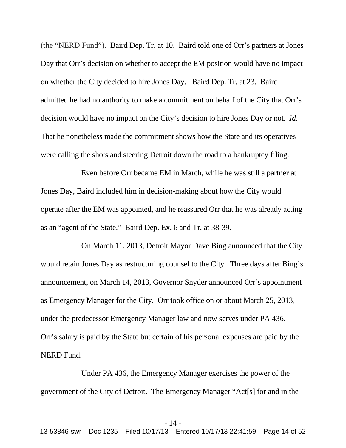(the "NERD Fund"). Baird Dep. Tr. at 10. Baird told one of Orr's partners at Jones Day that Orr's decision on whether to accept the EM position would have no impact on whether the City decided to hire Jones Day. Baird Dep. Tr. at 23. Baird admitted he had no authority to make a commitment on behalf of the City that Orr's decision would have no impact on the City's decision to hire Jones Day or not. *Id.* That he nonetheless made the commitment shows how the State and its operatives were calling the shots and steering Detroit down the road to a bankruptcy filing.

Even before Orr became EM in March, while he was still a partner at Jones Day, Baird included him in decision-making about how the City would operate after the EM was appointed, and he reassured Orr that he was already acting as an "agent of the State." Baird Dep. Ex. 6 and Tr. at 38-39.

On March 11, 2013, Detroit Mayor Dave Bing announced that the City would retain Jones Day as restructuring counsel to the City. Three days after Bing's announcement, on March 14, 2013, Governor Snyder announced Orr's appointment as Emergency Manager for the City. Orr took office on or about March 25, 2013, under the predecessor Emergency Manager law and now serves under PA 436. Orr's salary is paid by the State but certain of his personal expenses are paid by the NERD Fund.

Under PA 436, the Emergency Manager exercises the power of the government of the City of Detroit. The Emergency Manager "Act[s] for and in the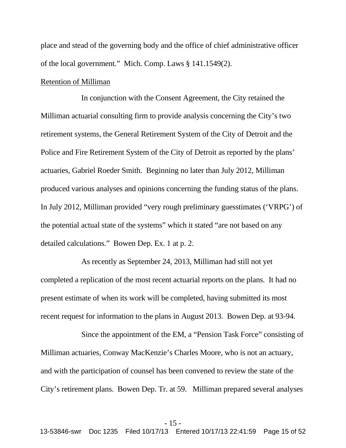place and stead of the governing body and the office of chief administrative officer of the local government." Mich. Comp. Laws § 141.1549(2).

## Retention of Milliman

In conjunction with the Consent Agreement, the City retained the Milliman actuarial consulting firm to provide analysis concerning the City's two retirement systems, the General Retirement System of the City of Detroit and the Police and Fire Retirement System of the City of Detroit as reported by the plans' actuaries, Gabriel Roeder Smith. Beginning no later than July 2012, Milliman produced various analyses and opinions concerning the funding status of the plans. In July 2012, Milliman provided "very rough preliminary guesstimates ('VRPG') of the potential actual state of the systems" which it stated "are not based on any detailed calculations." Bowen Dep. Ex. 1 at p. 2.

As recently as September 24, 2013, Milliman had still not yet completed a replication of the most recent actuarial reports on the plans. It had no present estimate of when its work will be completed, having submitted its most recent request for information to the plans in August 2013. Bowen Dep. at 93-94.

Since the appointment of the EM, a "Pension Task Force" consisting of Milliman actuaries, Conway MacKenzie's Charles Moore, who is not an actuary, and with the participation of counsel has been convened to review the state of the City's retirement plans. Bowen Dep. Tr. at 59. Milliman prepared several analyses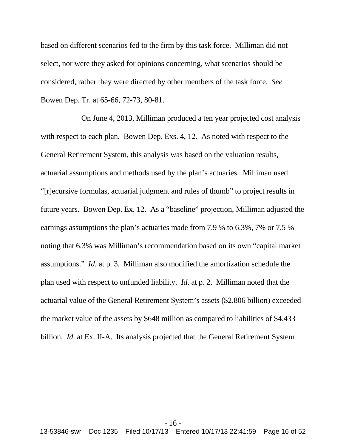based on different scenarios fed to the firm by this task force. Milliman did not select, nor were they asked for opinions concerning, what scenarios should be considered, rather they were directed by other members of the task force. *See* Bowen Dep. Tr. at 65-66, 72-73, 80-81.

On June 4, 2013, Milliman produced a ten year projected cost analysis with respect to each plan. Bowen Dep. Exs. 4, 12. As noted with respect to the General Retirement System, this analysis was based on the valuation results, actuarial assumptions and methods used by the plan's actuaries. Milliman used "[r]ecursive formulas, actuarial judgment and rules of thumb" to project results in future years. Bowen Dep. Ex. 12. As a "baseline" projection, Milliman adjusted the earnings assumptions the plan's actuaries made from 7.9 % to 6.3%, 7% or 7.5 % noting that 6.3% was Milliman's recommendation based on its own "capital market assumptions." *Id*. at p. 3. Milliman also modified the amortization schedule the plan used with respect to unfunded liability. *Id*. at p. 2. Milliman noted that the actuarial value of the General Retirement System's assets (\$2.806 billion) exceeded the market value of the assets by \$648 million as compared to liabilities of \$4.433 billion. *Id*. at Ex. II-A. Its analysis projected that the General Retirement System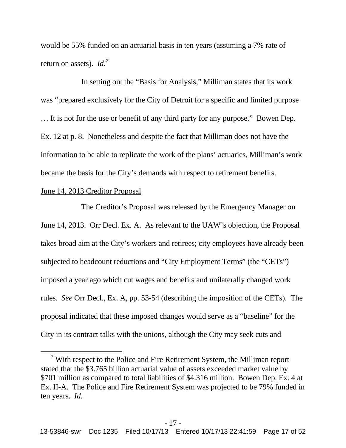would be 55% funded on an actuarial basis in ten years (assuming a 7% rate of return on assets). *Id.<sup>7</sup>*

In setting out the "Basis for Analysis," Milliman states that its work was "prepared exclusively for the City of Detroit for a specific and limited purpose … It is not for the use or benefit of any third party for any purpose." Bowen Dep. Ex. 12 at p. 8. Nonetheless and despite the fact that Milliman does not have the information to be able to replicate the work of the plans' actuaries, Milliman's work became the basis for the City's demands with respect to retirement benefits.

# June 14, 2013 Creditor Proposal

The Creditor's Proposal was released by the Emergency Manager on June 14, 2013. Orr Decl. Ex. A. As relevant to the UAW's objection, the Proposal takes broad aim at the City's workers and retirees; city employees have already been subjected to headcount reductions and "City Employment Terms" (the "CETs") imposed a year ago which cut wages and benefits and unilaterally changed work rules. *See* Orr Decl., Ex. A, pp. 53-54 (describing the imposition of the CETs). The proposal indicated that these imposed changes would serve as a "baseline" for the City in its contract talks with the unions, although the City may seek cuts and

 $7$  With respect to the Police and Fire Retirement System, the Milliman report stated that the \$3.765 billion actuarial value of assets exceeded market value by \$701 million as compared to total liabilities of \$4.316 million. Bowen Dep. Ex. 4 at Ex. II-A. The Police and Fire Retirement System was projected to be 79% funded in ten years. *Id.*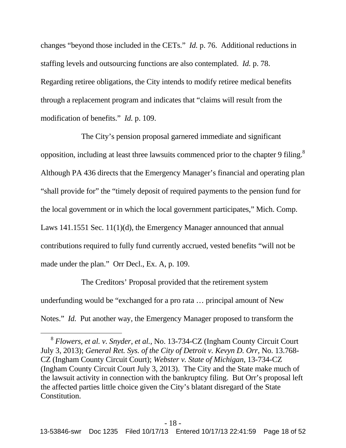changes "beyond those included in the CETs." *Id.* p. 76. Additional reductions in staffing levels and outsourcing functions are also contemplated. *Id.* p. 78. Regarding retiree obligations, the City intends to modify retiree medical benefits through a replacement program and indicates that "claims will result from the modification of benefits." *Id.* p. 109.

The City's pension proposal garnered immediate and significant opposition, including at least three lawsuits commenced prior to the chapter 9 filing.<sup>8</sup> Although PA 436 directs that the Emergency Manager's financial and operating plan "shall provide for" the "timely deposit of required payments to the pension fund for the local government or in which the local government participates," Mich. Comp. Laws 141.1551 Sec. 11(1)(d), the Emergency Manager announced that annual contributions required to fully fund currently accrued, vested benefits "will not be made under the plan." Orr Decl., Ex. A, p. 109.

The Creditors' Proposal provided that the retirement system underfunding would be "exchanged for a pro rata … principal amount of New Notes." *Id.* Put another way, the Emergency Manager proposed to transform the

<sup>8</sup> *Flowers, et al. v. Snyder, et al.,* No. 13-734-CZ (Ingham County Circuit Court July 3, 2013); *General Ret. Sys. of the City of Detroit v. Kevyn D. Orr*, No. 13.768- CZ (Ingham County Circuit Court); *Webster v. State of Michigan*, 13-734-CZ (Ingham County Circuit Court July 3, 2013). The City and the State make much of the lawsuit activity in connection with the bankruptcy filing. But Orr's proposal left the affected parties little choice given the City's blatant disregard of the State Constitution.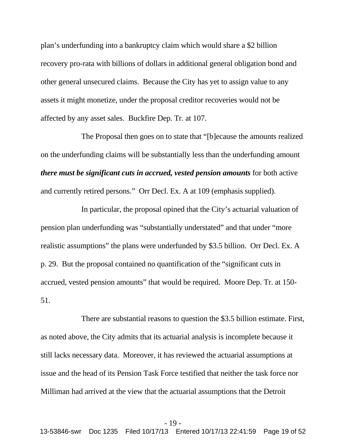plan's underfunding into a bankruptcy claim which would share a \$2 billion recovery pro-rata with billions of dollars in additional general obligation bond and other general unsecured claims. Because the City has yet to assign value to any assets it might monetize, under the proposal creditor recoveries would not be affected by any asset sales. Buckfire Dep. Tr. at 107.

The Proposal then goes on to state that "[b]ecause the amounts realized on the underfunding claims will be substantially less than the underfunding amount *there must be significant cuts in accrued, vested pension amounts* for both active and currently retired persons." Orr Decl. Ex. A at 109 (emphasis supplied).

In particular, the proposal opined that the City's actuarial valuation of pension plan underfunding was "substantially understated" and that under "more realistic assumptions" the plans were underfunded by \$3.5 billion. Orr Decl. Ex. A p. 29. But the proposal contained no quantification of the "significant cuts in accrued, vested pension amounts" that would be required. Moore Dep. Tr. at 150- 51.

There are substantial reasons to question the \$3.5 billion estimate. First, as noted above, the City admits that its actuarial analysis is incomplete because it still lacks necessary data. Moreover, it has reviewed the actuarial assumptions at issue and the head of its Pension Task Force testified that neither the task force nor Milliman had arrived at the view that the actuarial assumptions that the Detroit

#### - 19 -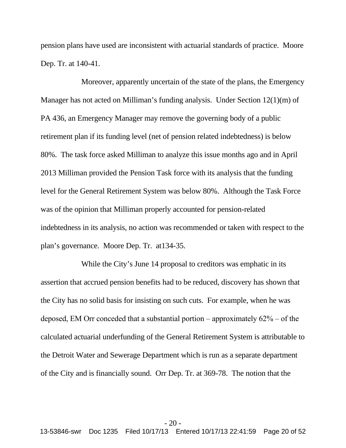pension plans have used are inconsistent with actuarial standards of practice. Moore Dep. Tr. at 140-41.

Moreover, apparently uncertain of the state of the plans, the Emergency Manager has not acted on Milliman's funding analysis. Under Section 12(1)(m) of PA 436, an Emergency Manager may remove the governing body of a public retirement plan if its funding level (net of pension related indebtedness) is below 80%. The task force asked Milliman to analyze this issue months ago and in April 2013 Milliman provided the Pension Task force with its analysis that the funding level for the General Retirement System was below 80%. Although the Task Force was of the opinion that Milliman properly accounted for pension-related indebtedness in its analysis, no action was recommended or taken with respect to the plan's governance. Moore Dep. Tr. at134-35.

While the City's June 14 proposal to creditors was emphatic in its assertion that accrued pension benefits had to be reduced, discovery has shown that the City has no solid basis for insisting on such cuts. For example, when he was deposed, EM Orr conceded that a substantial portion – approximately  $62\%$  – of the calculated actuarial underfunding of the General Retirement System is attributable to the Detroit Water and Sewerage Department which is run as a separate department of the City and is financially sound. Orr Dep. Tr. at 369-78. The notion that the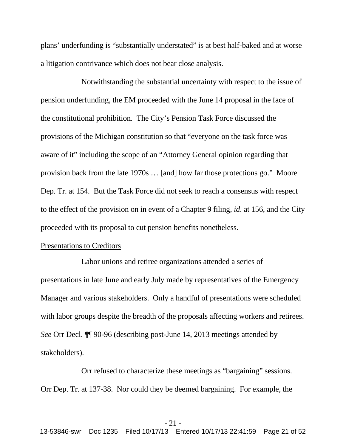plans' underfunding is "substantially understated" is at best half-baked and at worse a litigation contrivance which does not bear close analysis.

Notwithstanding the substantial uncertainty with respect to the issue of pension underfunding, the EM proceeded with the June 14 proposal in the face of the constitutional prohibition. The City's Pension Task Force discussed the provisions of the Michigan constitution so that "everyone on the task force was aware of it" including the scope of an "Attorney General opinion regarding that provision back from the late 1970s … [and] how far those protections go." Moore Dep. Tr. at 154. But the Task Force did not seek to reach a consensus with respect to the effect of the provision on in event of a Chapter 9 filing, *id*. at 156, and the City proceeded with its proposal to cut pension benefits nonetheless.

#### Presentations to Creditors

Labor unions and retiree organizations attended a series of presentations in late June and early July made by representatives of the Emergency Manager and various stakeholders. Only a handful of presentations were scheduled with labor groups despite the breadth of the proposals affecting workers and retirees. *See* Orr Decl. ¶¶ 90-96 (describing post-June 14, 2013 meetings attended by stakeholders).

Orr refused to characterize these meetings as "bargaining" sessions. Orr Dep. Tr. at 137-38. Nor could they be deemed bargaining. For example, the

#### - 21 -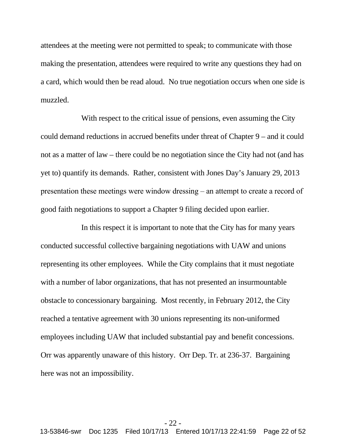attendees at the meeting were not permitted to speak; to communicate with those making the presentation, attendees were required to write any questions they had on a card, which would then be read aloud. No true negotiation occurs when one side is muzzled.

With respect to the critical issue of pensions, even assuming the City could demand reductions in accrued benefits under threat of Chapter 9 – and it could not as a matter of law – there could be no negotiation since the City had not (and has yet to) quantify its demands. Rather, consistent with Jones Day's January 29, 2013 presentation these meetings were window dressing – an attempt to create a record of good faith negotiations to support a Chapter 9 filing decided upon earlier.

In this respect it is important to note that the City has for many years conducted successful collective bargaining negotiations with UAW and unions representing its other employees. While the City complains that it must negotiate with a number of labor organizations, that has not presented an insurmountable obstacle to concessionary bargaining. Most recently, in February 2012, the City reached a tentative agreement with 30 unions representing its non-uniformed employees including UAW that included substantial pay and benefit concessions. Orr was apparently unaware of this history. Orr Dep. Tr. at 236-37. Bargaining here was not an impossibility.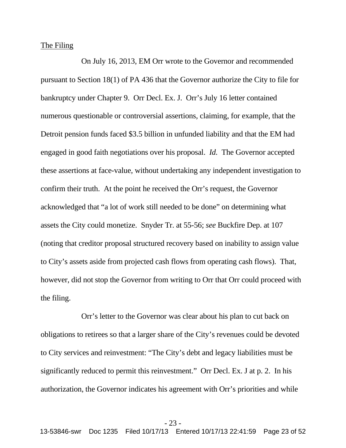#### The Filing

On July 16, 2013, EM Orr wrote to the Governor and recommended pursuant to Section 18(1) of PA 436 that the Governor authorize the City to file for bankruptcy under Chapter 9. Orr Decl. Ex. J. Orr's July 16 letter contained numerous questionable or controversial assertions, claiming, for example, that the Detroit pension funds faced \$3.5 billion in unfunded liability and that the EM had engaged in good faith negotiations over his proposal. *Id.* The Governor accepted these assertions at face-value, without undertaking any independent investigation to confirm their truth. At the point he received the Orr's request, the Governor acknowledged that "a lot of work still needed to be done" on determining what assets the City could monetize. Snyder Tr. at 55-56; *see* Buckfire Dep. at 107 (noting that creditor proposal structured recovery based on inability to assign value to City's assets aside from projected cash flows from operating cash flows). That, however, did not stop the Governor from writing to Orr that Orr could proceed with the filing.

Orr's letter to the Governor was clear about his plan to cut back on obligations to retirees so that a larger share of the City's revenues could be devoted to City services and reinvestment: "The City's debt and legacy liabilities must be significantly reduced to permit this reinvestment." Orr Decl. Ex. J at p. 2. In his authorization, the Governor indicates his agreement with Orr's priorities and while

#### - 23 -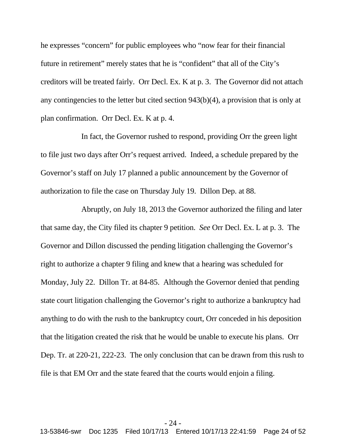he expresses "concern" for public employees who "now fear for their financial future in retirement" merely states that he is "confident" that all of the City's creditors will be treated fairly. Orr Decl. Ex. K at p. 3. The Governor did not attach any contingencies to the letter but cited section 943(b)(4), a provision that is only at plan confirmation. Orr Decl. Ex. K at p. 4.

In fact, the Governor rushed to respond, providing Orr the green light to file just two days after Orr's request arrived. Indeed, a schedule prepared by the Governor's staff on July 17 planned a public announcement by the Governor of authorization to file the case on Thursday July 19. Dillon Dep. at 88.

Abruptly, on July 18, 2013 the Governor authorized the filing and later that same day, the City filed its chapter 9 petition. *See* Orr Decl. Ex. L at p. 3. The Governor and Dillon discussed the pending litigation challenging the Governor's right to authorize a chapter 9 filing and knew that a hearing was scheduled for Monday, July 22. Dillon Tr. at 84-85. Although the Governor denied that pending state court litigation challenging the Governor's right to authorize a bankruptcy had anything to do with the rush to the bankruptcy court, Orr conceded in his deposition that the litigation created the risk that he would be unable to execute his plans. Orr Dep. Tr. at 220-21, 222-23. The only conclusion that can be drawn from this rush to file is that EM Orr and the state feared that the courts would enjoin a filing.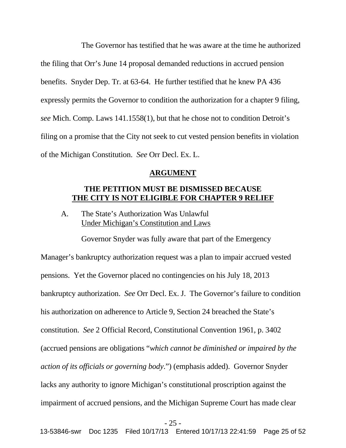The Governor has testified that he was aware at the time he authorized the filing that Orr's June 14 proposal demanded reductions in accrued pension benefits. Snyder Dep. Tr. at 63-64. He further testified that he knew PA 436 expressly permits the Governor to condition the authorization for a chapter 9 filing, *see* Mich. Comp. Laws 141.1558(1), but that he chose not to condition Detroit's filing on a promise that the City not seek to cut vested pension benefits in violation of the Michigan Constitution. *See* Orr Decl. Ex. L.

### **ARGUMENT**

# **THE PETITION MUST BE DISMISSED BECAUSE THE CITY IS NOT ELIGIBLE FOR CHAPTER 9 RELIEF**

Governor Snyder was fully aware that part of the Emergency

A. The State's Authorization Was Unlawful Under Michigan's Constitution and Laws

Manager's bankruptcy authorization request was a plan to impair accrued vested pensions. Yet the Governor placed no contingencies on his July 18, 2013 bankruptcy authorization. *See* Orr Decl. Ex. J. The Governor's failure to condition his authorization on adherence to Article 9, Section 24 breached the State's constitution. *See* 2 Official Record, Constitutional Convention 1961, p. 3402 (accrued pensions are obligations "*which cannot be diminished or impaired by the action of its officials or governing body*.") (emphasis added). Governor Snyder lacks any authority to ignore Michigan's constitutional proscription against the impairment of accrued pensions, and the Michigan Supreme Court has made clear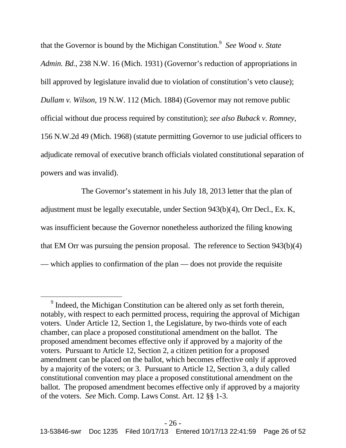that the Governor is bound by the Michigan Constitution.<sup>9</sup> See Wood v. State *Admin. Bd.*, 238 N.W. 16 (Mich. 1931) (Governor's reduction of appropriations in bill approved by legislature invalid due to violation of constitution's veto clause); *Dullam v. Wilson*, 19 N.W. 112 (Mich. 1884) (Governor may not remove public official without due process required by constitution); *see also Buback v. Romney*, 156 N.W.2d 49 (Mich. 1968) (statute permitting Governor to use judicial officers to adjudicate removal of executive branch officials violated constitutional separation of powers and was invalid).

The Governor's statement in his July 18, 2013 letter that the plan of adjustment must be legally executable, under Section 943(b)(4), Orr Decl., Ex. K, was insufficient because the Governor nonetheless authorized the filing knowing that EM Orr was pursuing the pension proposal. The reference to Section 943(b)(4) — which applies to confirmation of the plan — does not provide the requisite

 $9^9$  Indeed, the Michigan Constitution can be altered only as set forth therein, notably, with respect to each permitted process, requiring the approval of Michigan voters. Under Article 12, Section 1, the Legislature, by two-thirds vote of each chamber, can place a proposed constitutional amendment on the ballot. The proposed amendment becomes effective only if approved by a majority of the voters. Pursuant to Article 12, Section 2, a citizen petition for a proposed amendment can be placed on the ballot, which becomes effective only if approved by a majority of the voters; or 3. Pursuant to Article 12, Section 3, a duly called constitutional convention may place a proposed constitutional amendment on the ballot. The proposed amendment becomes effective only if approved by a majority of the voters. *See* Mich. Comp. Laws Const. Art. 12 §§ 1-3.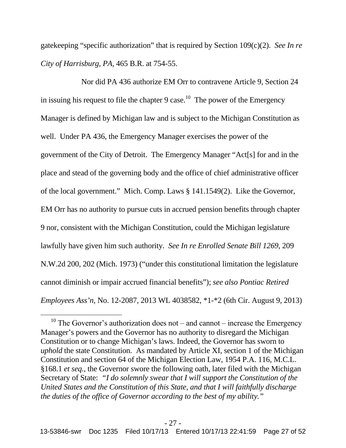gatekeeping "specific authorization" that is required by Section 109(c)(2). *See In re City of Harrisburg, PA,* 465 B.R. at 754-55.

Nor did PA 436 authorize EM Orr to contravene Article 9, Section 24 in issuing his request to file the chapter 9 case.<sup>10</sup> The power of the Emergency Manager is defined by Michigan law and is subject to the Michigan Constitution as well. Under PA 436, the Emergency Manager exercises the power of the government of the City of Detroit. The Emergency Manager "Act[s] for and in the place and stead of the governing body and the office of chief administrative officer of the local government." Mich. Comp. Laws § 141.1549(2). Like the Governor, EM Orr has no authority to pursue cuts in accrued pension benefits through chapter 9 nor, consistent with the Michigan Constitution, could the Michigan legislature lawfully have given him such authority. *See In re Enrolled Senate Bill 1269*, 209 N.W.2d 200, 202 (Mich. 1973) ("under this constitutional limitation the legislature cannot diminish or impair accrued financial benefits"); *see also Pontiac Retired Employees Ass'n*, No. 12-2087, 2013 WL 4038582, \*1-\*2 (6th Cir. August 9, 2013)

<sup>&</sup>lt;sup>10</sup> The Governor's authorization does not – and cannot – increase the Emergency Manager's powers and the Governor has no authority to disregard the Michigan Constitution or to change Michigan's laws. Indeed, the Governor has sworn to *uphold* the state Constitution. As mandated by Article XI, section 1 of the Michigan Constitution and section 64 of the Michigan Election Law, 1954 P.A. 116, M.C.L. §168.1 *et seq.*, the Governor swore the following oath, later filed with the Michigan Secretary of State: *"I do solemnly swear that I will support the Constitution of the United States and the Constitution of this State, and that I will faithfully discharge the duties of the office of Governor according to the best of my ability."*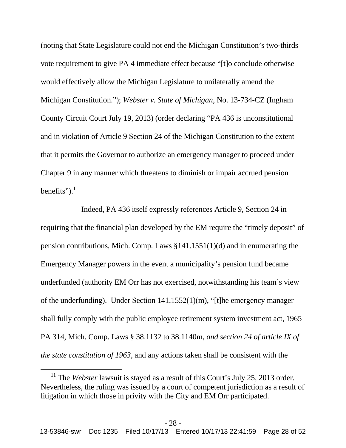(noting that State Legislature could not end the Michigan Constitution's two-thirds vote requirement to give PA 4 immediate effect because "[t]o conclude otherwise would effectively allow the Michigan Legislature to unilaterally amend the Michigan Constitution."); *Webster v. State of Michigan*, No. 13-734-CZ (Ingham County Circuit Court July 19, 2013) (order declaring "PA 436 is unconstitutional and in violation of Article 9 Section 24 of the Michigan Constitution to the extent that it permits the Governor to authorize an emergency manager to proceed under Chapter 9 in any manner which threatens to diminish or impair accrued pension benefits"). $^{11}$ 

Indeed, PA 436 itself expressly references Article 9, Section 24 in requiring that the financial plan developed by the EM require the "timely deposit" of pension contributions, Mich. Comp. Laws §141.1551(1)(d) and in enumerating the Emergency Manager powers in the event a municipality's pension fund became underfunded (authority EM Orr has not exercised, notwithstanding his team's view of the underfunding). Under Section 141.1552(1)(m), "[t]he emergency manager shall fully comply with the public employee retirement system investment act, 1965 PA 314, Mich. Comp. Laws § 38.1132 to 38.1140m, *and section 24 of article IX of the state constitution of 1963,* and any actions taken shall be consistent with the

<sup>&</sup>lt;sup>11</sup> The *Webster* lawsuit is stayed as a result of this Court's July 25, 2013 order. Nevertheless, the ruling was issued by a court of competent jurisdiction as a result of litigation in which those in privity with the City and EM Orr participated.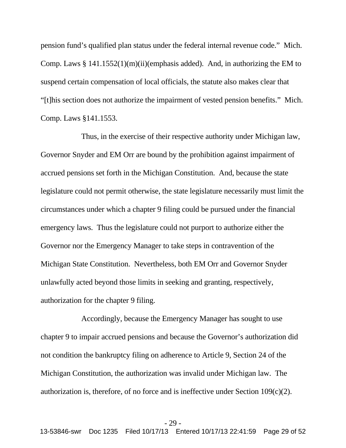pension fund's qualified plan status under the federal internal revenue code." Mich. Comp. Laws  $§$  141.1552(1)(m)(ii)(emphasis added). And, in authorizing the EM to suspend certain compensation of local officials, the statute also makes clear that "[t]his section does not authorize the impairment of vested pension benefits." Mich. Comp. Laws §141.1553.

Thus, in the exercise of their respective authority under Michigan law, Governor Snyder and EM Orr are bound by the prohibition against impairment of accrued pensions set forth in the Michigan Constitution. And, because the state legislature could not permit otherwise, the state legislature necessarily must limit the circumstances under which a chapter 9 filing could be pursued under the financial emergency laws. Thus the legislature could not purport to authorize either the Governor nor the Emergency Manager to take steps in contravention of the Michigan State Constitution. Nevertheless, both EM Orr and Governor Snyder unlawfully acted beyond those limits in seeking and granting, respectively, authorization for the chapter 9 filing.

Accordingly, because the Emergency Manager has sought to use chapter 9 to impair accrued pensions and because the Governor's authorization did not condition the bankruptcy filing on adherence to Article 9, Section 24 of the Michigan Constitution, the authorization was invalid under Michigan law. The authorization is, therefore, of no force and is ineffective under Section  $109(c)(2)$ .

#### - 29 -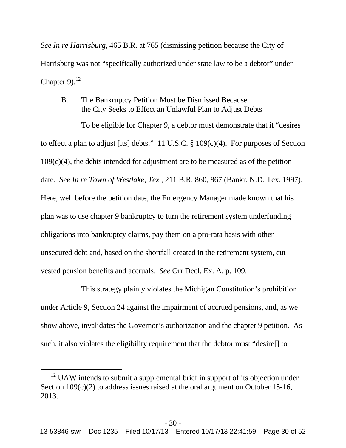*See In re Harrisburg*, 465 B.R. at 765 (dismissing petition because the City of Harrisburg was not "specifically authorized under state law to be a debtor" under Chapter 9). $^{12}$ 

# B. The Bankruptcy Petition Must be Dismissed Because the City Seeks to Effect an Unlawful Plan to Adjust Debts

To be eligible for Chapter 9, a debtor must demonstrate that it "desires to effect a plan to adjust [its] debts." 11 U.S.C. § 109(c)(4). For purposes of Section 109(c)(4), the debts intended for adjustment are to be measured as of the petition date. *See In re Town of Westlake, Tex.*, 211 B.R. 860, 867 (Bankr. N.D. Tex. 1997). Here, well before the petition date, the Emergency Manager made known that his plan was to use chapter 9 bankruptcy to turn the retirement system underfunding obligations into bankruptcy claims, pay them on a pro-rata basis with other unsecured debt and, based on the shortfall created in the retirement system, cut vested pension benefits and accruals. *See* Orr Decl. Ex. A, p. 109.

This strategy plainly violates the Michigan Constitution's prohibition under Article 9, Section 24 against the impairment of accrued pensions, and, as we show above, invalidates the Governor's authorization and the chapter 9 petition. As such, it also violates the eligibility requirement that the debtor must "desire[] to

 $12$  UAW intends to submit a supplemental brief in support of its objection under Section 109(c)(2) to address issues raised at the oral argument on October 15-16, 2013.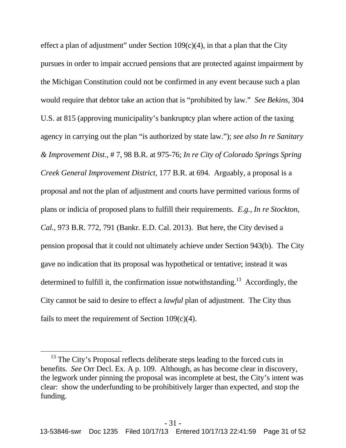effect a plan of adjustment" under Section  $109(c)(4)$ , in that a plan that the City pursues in order to impair accrued pensions that are protected against impairment by the Michigan Constitution could not be confirmed in any event because such a plan would require that debtor take an action that is "prohibited by law." *See Bekins*, 304 U.S. at 815 (approving municipality's bankruptcy plan where action of the taxing agency in carrying out the plan "is authorized by state law."); *see also In re Sanitary & Improvement Dist.*, # 7, 98 B.R. at 975-76; *In re City of Colorado Springs Spring Creek General Improvement District*, 177 B.R. at 694. Arguably, a proposal is a proposal and not the plan of adjustment and courts have permitted various forms of plans or indicia of proposed plans to fulfill their requirements. *E.g., In re Stockton, Cal.,* 973 B.R. 772, 791 (Bankr. E.D. Cal. 2013). But here, the City devised a pension proposal that it could not ultimately achieve under Section 943(b). The City gave no indication that its proposal was hypothetical or tentative; instead it was determined to fulfill it, the confirmation issue notwithstanding.<sup>13</sup> Accordingly, the City cannot be said to desire to effect a *lawful* plan of adjustment. The City thus fails to meet the requirement of Section  $109(c)(4)$ .

<sup>&</sup>lt;sup>13</sup> The City's Proposal reflects deliberate steps leading to the forced cuts in benefits. *See* Orr Decl. Ex. A p. 109. Although, as has become clear in discovery, the legwork under pinning the proposal was incomplete at best, the City's intent was clear: show the underfunding to be prohibitively larger than expected, and stop the funding.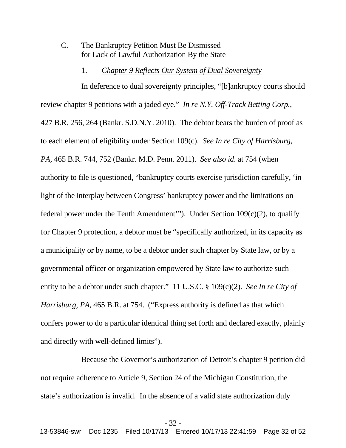# C. The Bankruptcy Petition Must Be Dismissed for Lack of Lawful Authorization By the State

#### 1. *Chapter 9 Reflects Our System of Dual Sovereignty*

In deference to dual sovereignty principles, "[b]ankruptcy courts should review chapter 9 petitions with a jaded eye." *In re N.Y. Off-Track Betting Corp.*, 427 B.R. 256, 264 (Bankr. S.D.N.Y. 2010). The debtor bears the burden of proof as to each element of eligibility under Section 109(c). *See In re City of Harrisburg, PA,* 465 B.R. 744, 752 (Bankr. M.D. Penn. 2011). *See also id*. at 754 (when authority to file is questioned, "bankruptcy courts exercise jurisdiction carefully, 'in light of the interplay between Congress' bankruptcy power and the limitations on federal power under the Tenth Amendment'"). Under Section  $109(c)(2)$ , to qualify for Chapter 9 protection, a debtor must be "specifically authorized, in its capacity as a municipality or by name, to be a debtor under such chapter by State law, or by a governmental officer or organization empowered by State law to authorize such entity to be a debtor under such chapter." 11 U.S.C. § 109(c)(2). *See In re City of Harrisburg, PA,* 465 B.R. at 754. ("Express authority is defined as that which confers power to do a particular identical thing set forth and declared exactly, plainly and directly with well-defined limits").

Because the Governor's authorization of Detroit's chapter 9 petition did not require adherence to Article 9, Section 24 of the Michigan Constitution, the state's authorization is invalid. In the absence of a valid state authorization duly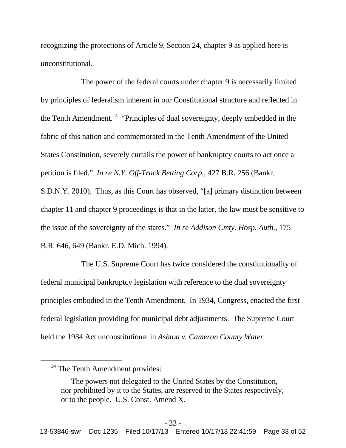recognizing the protections of Article 9, Section 24, chapter 9 as applied here is unconstitutional.

The power of the federal courts under chapter 9 is necessarily limited by principles of federalism inherent in our Constitutional structure and reflected in the Tenth Amendment.<sup>14</sup> "Principles of dual sovereignty, deeply embedded in the fabric of this nation and commemorated in the Tenth Amendment of the United States Constitution, severely curtails the power of bankruptcy courts to act once a petition is filed." *In re N.Y. Off-Track Betting Corp.*, 427 B.R. 256 (Bankr. S.D.N.Y. 2010). Thus, as this Court has observed, "[a] primary distinction between chapter 11 and chapter 9 proceedings is that in the latter, the law must be sensitive to the issue of the sovereignty of the states." *In re Addison Cmty. Hosp. Auth.*, 175 B.R. 646, 649 (Bankr. E.D. Mich. 1994).

The U.S. Supreme Court has twice considered the constitutionality of federal municipal bankruptcy legislation with reference to the dual sovereignty principles embodied in the Tenth Amendment. In 1934, Congress, enacted the first federal legislation providing for municipal debt adjustments. The Supreme Court held the 1934 Act unconstitutional in *Ashton v. Cameron County Water*

<sup>&</sup>lt;sup>14</sup> The Tenth Amendment provides:

The powers not delegated to the United States by the Constitution, nor prohibited by it to the States, are reserved to the States respectively, or to the people. U.S. Const. Amend X.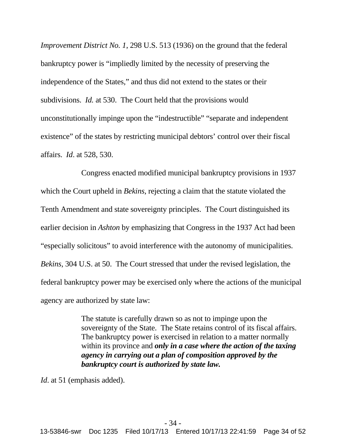*Improvement District No. 1*, 298 U.S. 513 (1936) on the ground that the federal bankruptcy power is "impliedly limited by the necessity of preserving the independence of the States," and thus did not extend to the states or their subdivisions. *Id.* at 530. The Court held that the provisions would unconstitutionally impinge upon the "indestructible" "separate and independent existence" of the states by restricting municipal debtors' control over their fiscal affairs. *Id*. at 528, 530.

Congress enacted modified municipal bankruptcy provisions in 1937 which the Court upheld in *Bekins*, rejecting a claim that the statute violated the Tenth Amendment and state sovereignty principles. The Court distinguished its earlier decision in *Ashton* by emphasizing that Congress in the 1937 Act had been "especially solicitous" to avoid interference with the autonomy of municipalities. *Bekins*, 304 U.S. at 50. The Court stressed that under the revised legislation, the federal bankruptcy power may be exercised only where the actions of the municipal agency are authorized by state law:

> The statute is carefully drawn so as not to impinge upon the sovereignty of the State. The State retains control of its fiscal affairs. The bankruptcy power is exercised in relation to a matter normally within its province and *only in a case where the action of the taxing agency in carrying out a plan of composition approved by the bankruptcy court is authorized by state law.*

*Id.* at 51 (emphasis added).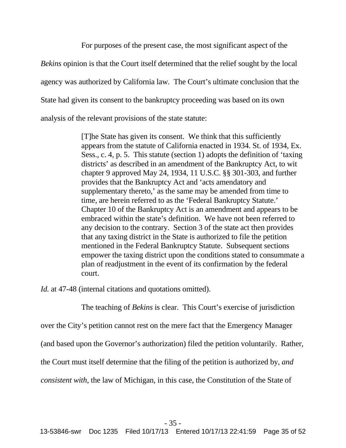For purposes of the present case, the most significant aspect of the

*Bekins* opinion is that the Court itself determined that the relief sought by the local agency was authorized by California law. The Court's ultimate conclusion that the State had given its consent to the bankruptcy proceeding was based on its own analysis of the relevant provisions of the state statute:

> [T]he State has given its consent. We think that this sufficiently appears from the statute of California enacted in 1934. St. of 1934, Ex. Sess., c. 4, p. 5. This statute (section 1) adopts the definition of 'taxing districts' as described in an amendment of the Bankruptcy Act, to wit chapter 9 approved May 24, 1934, 11 U.S.C. §§ 301-303, and further provides that the Bankruptcy Act and 'acts amendatory and supplementary thereto,' as the same may be amended from time to time, are herein referred to as the 'Federal Bankruptcy Statute.' Chapter 10 of the Bankruptcy Act is an amendment and appears to be embraced within the state's definition. We have not been referred to any decision to the contrary. Section 3 of the state act then provides that any taxing district in the State is authorized to file the petition mentioned in the Federal Bankruptcy Statute. Subsequent sections empower the taxing district upon the conditions stated to consummate a plan of readjustment in the event of its confirmation by the federal court.

*Id.* at 47-48 (internal citations and quotations omitted).

The teaching of *Bekins* is clear. This Court's exercise of jurisdiction

over the City's petition cannot rest on the mere fact that the Emergency Manager

(and based upon the Governor's authorization) filed the petition voluntarily. Rather,

the Court must itself determine that the filing of the petition is authorized by, *and*

*consistent with*, the law of Michigan, in this case, the Constitution of the State of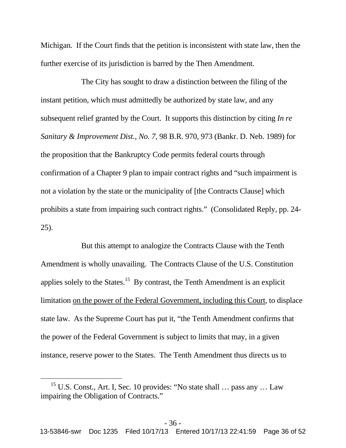Michigan. If the Court finds that the petition is inconsistent with state law, then the further exercise of its jurisdiction is barred by the Then Amendment.

The City has sought to draw a distinction between the filing of the instant petition, which must admittedly be authorized by state law, and any subsequent relief granted by the Court. It supports this distinction by citing *In re Sanitary & Improvement Dist., No. 7*, 98 B.R. 970, 973 (Bankr. D. Neb. 1989) for the proposition that the Bankruptcy Code permits federal courts through confirmation of a Chapter 9 plan to impair contract rights and "such impairment is not a violation by the state or the municipality of [the Contracts Clause] which prohibits a state from impairing such contract rights." (Consolidated Reply, pp. 24- 25).

But this attempt to analogize the Contracts Clause with the Tenth Amendment is wholly unavailing. The Contracts Clause of the U.S. Constitution applies solely to the States.<sup>15</sup> By contrast, the Tenth Amendment is an explicit limitation on the power of the Federal Government, including this Court, to displace state law. As the Supreme Court has put it, "the Tenth Amendment confirms that the power of the Federal Government is subject to limits that may, in a given instance, reserve power to the States. The Tenth Amendment thus directs us to

<sup>&</sup>lt;sup>15</sup> U.S. Const., Art. I, Sec. 10 provides: "No state shall  $\ldots$  pass any  $\ldots$  Law impairing the Obligation of Contracts."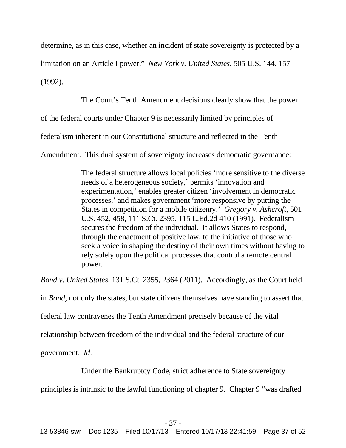determine, as in this case, whether an incident of state sovereignty is protected by a

limitation on an Article I power." *New York v. United States*, 505 U.S. 144, 157

(1992).

The Court's Tenth Amendment decisions clearly show that the power

of the federal courts under Chapter 9 is necessarily limited by principles of

federalism inherent in our Constitutional structure and reflected in the Tenth

Amendment. This dual system of sovereignty increases democratic governance:

The federal structure allows local policies 'more sensitive to the diverse needs of a heterogeneous society,' permits 'innovation and experimentation,' enables greater citizen 'involvement in democratic processes,' and makes government 'more responsive by putting the States in competition for a mobile citizenry.' *Gregory v. Ashcroft,* 501 U.S. 452, 458, 111 S.Ct. 2395, 115 L.Ed.2d 410 (1991). Federalism secures the freedom of the individual. It allows States to respond, through the enactment of positive law, to the initiative of those who seek a voice in shaping the destiny of their own times without having to rely solely upon the political processes that control a remote central power.

*Bond v. United States*, 131 S.Ct. 2355, 2364 (2011). Accordingly, as the Court held

in *Bond*, not only the states, but state citizens themselves have standing to assert that

federal law contravenes the Tenth Amendment precisely because of the vital

relationship between freedom of the individual and the federal structure of our

government. *Id*.

Under the Bankruptcy Code, strict adherence to State sovereignty

principles is intrinsic to the lawful functioning of chapter 9. Chapter 9 "was drafted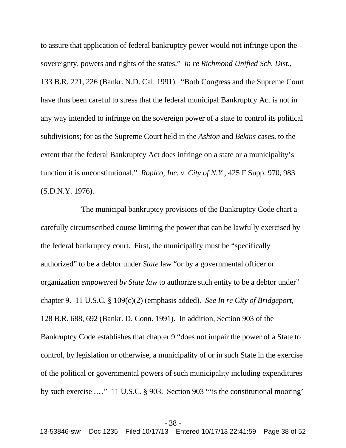to assure that application of federal bankruptcy power would not infringe upon the sovereignty, powers and rights of the states." *In re Richmond Unified Sch. Dist.*, 133 B.R. 221, 226 (Bankr. N.D. Cal. 1991). "Both Congress and the Supreme Court have thus been careful to stress that the federal municipal Bankruptcy Act is not in any way intended to infringe on the sovereign power of a state to control its political subdivisions; for as the Supreme Court held in the *Ashton* and *Bekins* cases, to the extent that the federal Bankruptcy Act does infringe on a state or a municipality's function it is unconstitutional." *Ropico, Inc. v. City of N.Y.*, 425 F.Supp. 970, 983 (S.D.N.Y. 1976).

The municipal bankruptcy provisions of the Bankruptcy Code chart a carefully circumscribed course limiting the power that can be lawfully exercised by the federal bankruptcy court. First, the municipality must be "specifically authorized" to be a debtor under *State* law "or by a governmental officer or organization *empowered by State law* to authorize such entity to be a debtor under" chapter 9. 11 U.S.C. § 109(c)(2) (emphasis added). *See In re City of Bridgeport*, 128 B.R. 688, 692 (Bankr. D. Conn. 1991). In addition, Section 903 of the Bankruptcy Code establishes that chapter 9 "does not impair the power of a State to control, by legislation or otherwise, a municipality of or in such State in the exercise of the political or governmental powers of such municipality including expenditures by such exercise .…" 11 U.S.C. § 903. Section 903 "'is the constitutional mooring'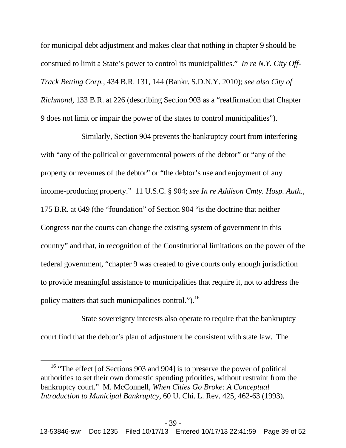for municipal debt adjustment and makes clear that nothing in chapter 9 should be construed to limit a State's power to control its municipalities." *In re N.Y. City Off-Track Betting Corp.*, 434 B.R. 131, 144 (Bankr. S.D.N.Y. 2010); *see also City of Richmond*, 133 B.R. at 226 (describing Section 903 as a "reaffirmation that Chapter 9 does not limit or impair the power of the states to control municipalities").

Similarly, Section 904 prevents the bankruptcy court from interfering with "any of the political or governmental powers of the debtor" or "any of the property or revenues of the debtor" or "the debtor's use and enjoyment of any income-producing property." 11 U.S.C. § 904; *see In re Addison Cmty. Hosp. Auth.*, 175 B.R. at 649 (the "foundation" of Section 904 "is the doctrine that neither Congress nor the courts can change the existing system of government in this country" and that, in recognition of the Constitutional limitations on the power of the federal government, "chapter 9 was created to give courts only enough jurisdiction to provide meaningful assistance to municipalities that require it, not to address the policy matters that such municipalities control.").<sup>16</sup>

State sovereignty interests also operate to require that the bankruptcy court find that the debtor's plan of adjustment be consistent with state law. The

<sup>&</sup>lt;sup>16</sup> "The effect [of Sections 903 and 904] is to preserve the power of political authorities to set their own domestic spending priorities, without restraint from the bankruptcy court." M. McConnell, *When Cities Go Broke: A Conceptual Introduction to Municipal Bankruptcy*, 60 U. Chi. L. Rev. 425, 462-63 (1993).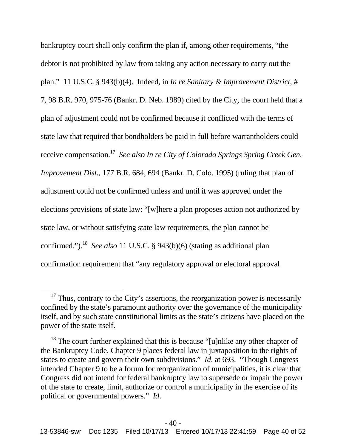bankruptcy court shall only confirm the plan if, among other requirements, "the debtor is not prohibited by law from taking any action necessary to carry out the plan." 11 U.S.C. § 943(b)(4). Indeed, in *In re Sanitary & Improvement District*, # 7, 98 B.R. 970, 975-76 (Bankr. D. Neb. 1989) cited by the City, the court held that a plan of adjustment could not be confirmed because it conflicted with the terms of state law that required that bondholders be paid in full before warrantholders could receive compensation.<sup>17</sup> *See also In re City of Colorado Springs Spring Creek Gen. Improvement Dist.*, 177 B.R. 684, 694 (Bankr. D. Colo. 1995) (ruling that plan of adjustment could not be confirmed unless and until it was approved under the elections provisions of state law: "[w]here a plan proposes action not authorized by state law, or without satisfying state law requirements, the plan cannot be confirmed.").<sup>18</sup> *See also* 11 U.S.C. § 943(b)(6) (stating as additional plan confirmation requirement that "any regulatory approval or electoral approval

 $17$  Thus, contrary to the City's assertions, the reorganization power is necessarily confined by the state's paramount authority over the governance of the municipality itself, and by such state constitutional limits as the state's citizens have placed on the power of the state itself.

<sup>&</sup>lt;sup>18</sup> The court further explained that this is because "[u]nlike any other chapter of the Bankruptcy Code, Chapter 9 places federal law in juxtaposition to the rights of states to create and govern their own subdivisions." *Id*. at 693. "Though Congress intended Chapter 9 to be a forum for reorganization of municipalities, it is clear that Congress did not intend for federal bankruptcy law to supersede or impair the power of the state to create, limit, authorize or control a municipality in the exercise of its political or governmental powers." *Id*.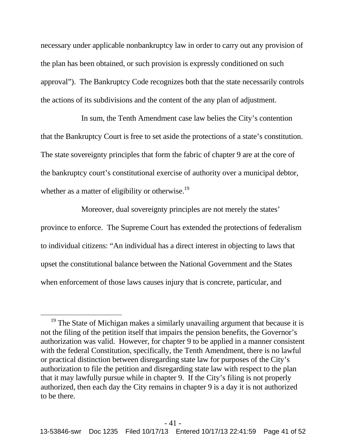necessary under applicable nonbankruptcy law in order to carry out any provision of the plan has been obtained, or such provision is expressly conditioned on such approval"). The Bankruptcy Code recognizes both that the state necessarily controls the actions of its subdivisions and the content of the any plan of adjustment.

In sum, the Tenth Amendment case law belies the City's contention that the Bankruptcy Court is free to set aside the protections of a state's constitution. The state sovereignty principles that form the fabric of chapter 9 are at the core of the bankruptcy court's constitutional exercise of authority over a municipal debtor, whether as a matter of eligibility or otherwise.<sup>19</sup>

Moreover, dual sovereignty principles are not merely the states' province to enforce. The Supreme Court has extended the protections of federalism to individual citizens: "An individual has a direct interest in objecting to laws that upset the constitutional balance between the National Government and the States when enforcement of those laws causes injury that is concrete, particular, and

<sup>&</sup>lt;sup>19</sup> The State of Michigan makes a similarly unavailing argument that because it is not the filing of the petition itself that impairs the pension benefits, the Governor's authorization was valid. However, for chapter 9 to be applied in a manner consistent with the federal Constitution, specifically, the Tenth Amendment, there is no lawful or practical distinction between disregarding state law for purposes of the City's authorization to file the petition and disregarding state law with respect to the plan that it may lawfully pursue while in chapter 9. If the City's filing is not properly authorized, then each day the City remains in chapter 9 is a day it is not authorized to be there.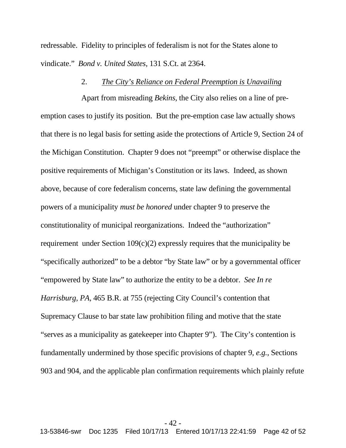redressable. Fidelity to principles of federalism is not for the States alone to vindicate." *Bond v. United States*, 131 S.Ct. at 2364.

### 2. *The City's Reliance on Federal Preemption is Unavailing*

Apart from misreading *Bekins*, the City also relies on a line of preemption cases to justify its position. But the pre-emption case law actually shows that there is no legal basis for setting aside the protections of Article 9, Section 24 of the Michigan Constitution. Chapter 9 does not "preempt" or otherwise displace the positive requirements of Michigan's Constitution or its laws. Indeed, as shown above, because of core federalism concerns, state law defining the governmental powers of a municipality *must be honored* under chapter 9 to preserve the constitutionality of municipal reorganizations. Indeed the "authorization" requirement under Section 109(c)(2) expressly requires that the municipality be "specifically authorized" to be a debtor "by State law" or by a governmental officer "empowered by State law" to authorize the entity to be a debtor. *See In re Harrisburg, PA,* 465 B.R. at 755 (rejecting City Council's contention that Supremacy Clause to bar state law prohibition filing and motive that the state "serves as a municipality as gatekeeper into Chapter 9"). The City's contention is fundamentally undermined by those specific provisions of chapter 9, *e.g.*, Sections 903 and 904, and the applicable plan confirmation requirements which plainly refute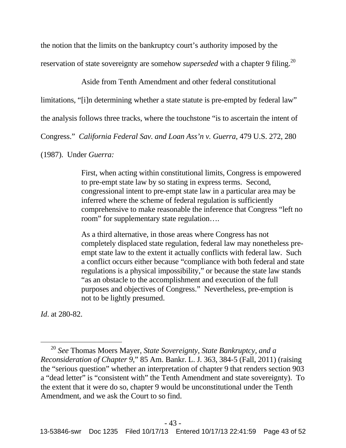the notion that the limits on the bankruptcy court's authority imposed by the

reservation of state sovereignty are somehow *superseded* with a chapter 9 filing.<sup>20</sup>

Aside from Tenth Amendment and other federal constitutional

limitations, "[i]n determining whether a state statute is pre-empted by federal law"

the analysis follows three tracks, where the touchstone "is to ascertain the intent of

Congress." *California Federal Sav. and Loan Ass'n v. Guerra*, 479 U.S. 272, 280

(1987). Under *Guerra:*

First, when acting within constitutional limits, Congress is empowered to pre-empt state law by so stating in express terms. Second, congressional intent to pre-empt state law in a particular area may be inferred where the scheme of federal regulation is sufficiently comprehensive to make reasonable the inference that Congress "left no room" for supplementary state regulation….

As a third alternative, in those areas where Congress has not completely displaced state regulation, federal law may nonetheless preempt state law to the extent it actually conflicts with federal law. Such a conflict occurs either because "compliance with both federal and state regulations is a physical impossibility," or because the state law stands "as an obstacle to the accomplishment and execution of the full purposes and objectives of Congress." Nevertheless, pre-emption is not to be lightly presumed.

*Id*. at 280-82.

<sup>20</sup> *See* Thomas Moers Mayer, *State Sovereignty, State Bankruptcy, and a Reconsideration of Chapter 9*," 85 Am. Bankr. L. J. 363, 384-5 (Fall, 2011) (raising the "serious question" whether an interpretation of chapter 9 that renders section 903 a "dead letter" is "consistent with" the Tenth Amendment and state sovereignty). To the extent that it were do so, chapter 9 would be unconstitutional under the Tenth Amendment, and we ask the Court to so find.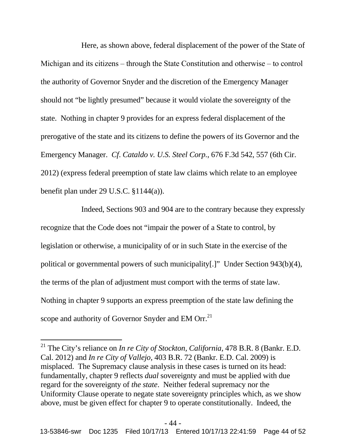Here, as shown above, federal displacement of the power of the State of Michigan and its citizens  $-$  through the State Constitution and otherwise  $-$  to control the authority of Governor Snyder and the discretion of the Emergency Manager should not "be lightly presumed" because it would violate the sovereignty of the state. Nothing in chapter 9 provides for an express federal displacement of the prerogative of the state and its citizens to define the powers of its Governor and the Emergency Manager. *Cf*. *Cataldo v. U.S. Steel Corp.*, 676 F.3d 542, 557 (6th Cir. 2012) (express federal preemption of state law claims which relate to an employee benefit plan under 29 U.S.C. §1144(a)).

Indeed, Sections 903 and 904 are to the contrary because they expressly recognize that the Code does not "impair the power of a State to control, by legislation or otherwise, a municipality of or in such State in the exercise of the political or governmental powers of such municipality[.]" Under Section 943(b)(4), the terms of the plan of adjustment must comport with the terms of state law. Nothing in chapter 9 supports an express preemption of the state law defining the scope and authority of Governor Snyder and EM Orr. $^{21}$ 

<sup>21</sup> The City's reliance on *In re City of Stockton, California,* 478 B.R. 8 (Bankr. E.D. Cal. 2012) and *In re City of Vallejo,* 403 B.R. 72 (Bankr. E.D. Cal. 2009) is misplaced. The Supremacy clause analysis in these cases is turned on its head: fundamentally, chapter 9 reflects *dual* sovereignty and must be applied with due regard for the sovereignty of *the state*. Neither federal supremacy nor the Uniformity Clause operate to negate state sovereignty principles which, as we show above, must be given effect for chapter 9 to operate constitutionally. Indeed, the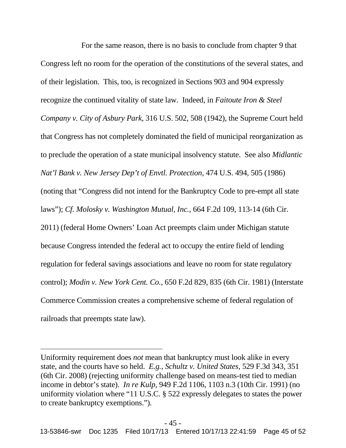For the same reason, there is no basis to conclude from chapter 9 that Congress left no room for the operation of the constitutions of the several states, and of their legislation. This, too, is recognized in Sections 903 and 904 expressly recognize the continued vitality of state law. Indeed, in *Faitoute Iron & Steel Company v. City of Asbury Park*, 316 U.S. 502, 508 (1942), the Supreme Court held that Congress has not completely dominated the field of municipal reorganization as to preclude the operation of a state municipal insolvency statute. See also *Midlantic Nat'l Bank v. New Jersey Dep't of Envtl. Protection*, 474 U.S. 494, 505 (1986) (noting that "Congress did not intend for the Bankruptcy Code to pre-empt all state laws"); *Cf*. *Molosky v. Washington Mutual, Inc.*, 664 F.2d 109, 113-14 (6th Cir. 2011) (federal Home Owners' Loan Act preempts claim under Michigan statute because Congress intended the federal act to occupy the entire field of lending regulation for federal savings associations and leave no room for state regulatory control); *Modin v. New York Cent. Co.*, 650 F.2d 829, 835 (6th Cir. 1981) (Interstate Commerce Commission creates a comprehensive scheme of federal regulation of railroads that preempts state law).

Uniformity requirement does *not* mean that bankruptcy must look alike in every state, and the courts have so held. *E.g., Schultz v. United States*, 529 F.3d 343, 351 (6th Cir. 2008) (rejecting uniformity challenge based on means-test tied to median income in debtor's state). *In re Kulp*, 949 F.2d 1106, 1103 n.3 (10th Cir. 1991) (no uniformity violation where "11 U.S.C. § 522 expressly delegates to states the power to create bankruptcy exemptions.").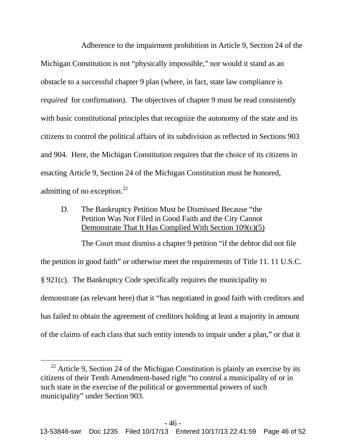Adherence to the impairment prohibition in Article 9, Section 24 of the Michigan Constitution is not "physically impossible," nor would it stand as an obstacle to a successful chapter 9 plan (where, in fact, state law compliance is *required* for confirmation). The objectives of chapter 9 must be read consistently with basic constitutional principles that recognize the autonomy of the state and its citizens to control the political affairs of its subdivision as reflected in Sections 903 and 904. Here, the Michigan Constitution requires that the choice of its citizens in enacting Article 9, Section 24 of the Michigan Constitution must be honored, admitting of no exception. $^{22}$ 

D. The Bankruptcy Petition Must be Dismissed Because "the Petition Was Not Filed in Good Faith and the City Cannot Demonstrate That It Has Complied With Section 109(c)(5)

The Court must dismiss a chapter 9 petition "if the debtor did not file the petition in good faith" or otherwise meet the requirements of Title 11. 11 U.S.C. § 921(c). The Bankruptcy Code specifically requires the municipality to demonstrate (as relevant here) that it "has negotiated in good faith with creditors and has failed to obtain the agreement of creditors holding at least a majority in amount of the claims of each class that such entity intends to impair under a plan," or that it

 $22$  Article 9, Section 24 of the Michigan Constitution is plainly an exercise by its citizens of their Tenth Amendment-based right "to control a municipality of or in such state in the exercise of the political or governmental powers of such municipality" under Section 903.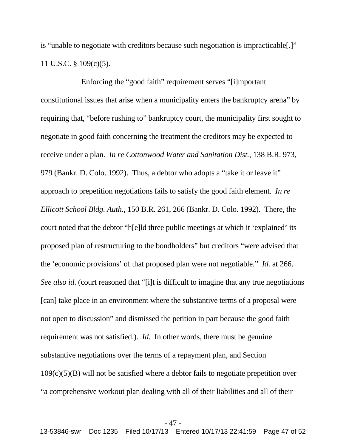is "unable to negotiate with creditors because such negotiation is impracticable[.]" 11 U.S.C. § 109(c)(5).

Enforcing the "good faith" requirement serves "[i]mportant constitutional issues that arise when a municipality enters the bankruptcy arena" by requiring that, "before rushing to" bankruptcy court, the municipality first sought to negotiate in good faith concerning the treatment the creditors may be expected to receive under a plan. *In re Cottonwood Water and Sanitation Dist.,* 138 B.R. 973, 979 (Bankr. D. Colo. 1992). Thus, a debtor who adopts a "take it or leave it" approach to prepetition negotiations fails to satisfy the good faith element. *In re Ellicott School Bldg. Auth.*, 150 B.R. 261, 266 (Bankr. D. Colo. 1992). There, the court noted that the debtor "h[e]ld three public meetings at which it 'explained' its proposed plan of restructuring to the bondholders" but creditors "were advised that the 'economic provisions' of that proposed plan were not negotiable." *Id.* at 266. *See also id.* (court reasoned that "[i]t is difficult to imagine that any true negotiations [can] take place in an environment where the substantive terms of a proposal were not open to discussion" and dismissed the petition in part because the good faith requirement was not satisfied.). *Id.* In other words, there must be genuine substantive negotiations over the terms of a repayment plan, and Section  $109(c)(5)(B)$  will not be satisfied where a debtor fails to negotiate prepetition over "a comprehensive workout plan dealing with all of their liabilities and all of their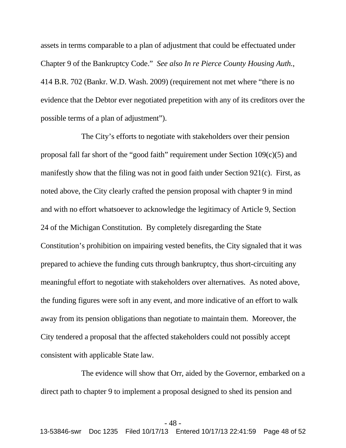assets in terms comparable to a plan of adjustment that could be effectuated under Chapter 9 of the Bankruptcy Code." *See also In re Pierce County Housing Auth.*, 414 B.R. 702 (Bankr. W.D. Wash. 2009) (requirement not met where "there is no evidence that the Debtor ever negotiated prepetition with any of its creditors over the possible terms of a plan of adjustment").

The City's efforts to negotiate with stakeholders over their pension proposal fall far short of the "good faith" requirement under Section 109(c)(5) and manifestly show that the filing was not in good faith under Section 921(c). First, as noted above, the City clearly crafted the pension proposal with chapter 9 in mind and with no effort whatsoever to acknowledge the legitimacy of Article 9, Section 24 of the Michigan Constitution. By completely disregarding the State Constitution's prohibition on impairing vested benefits, the City signaled that it was prepared to achieve the funding cuts through bankruptcy, thus short-circuiting any meaningful effort to negotiate with stakeholders over alternatives. As noted above, the funding figures were soft in any event, and more indicative of an effort to walk away from its pension obligations than negotiate to maintain them. Moreover, the City tendered a proposal that the affected stakeholders could not possibly accept consistent with applicable State law.

The evidence will show that Orr, aided by the Governor, embarked on a direct path to chapter 9 to implement a proposal designed to shed its pension and

### - 48 -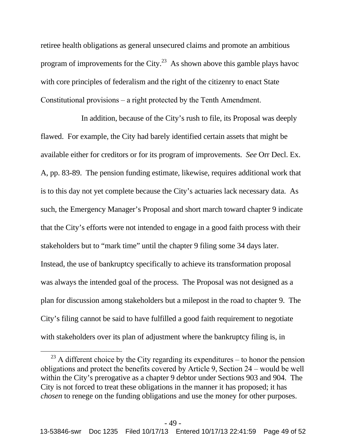retiree health obligations as general unsecured claims and promote an ambitious program of improvements for the City.<sup>23</sup> As shown above this gamble plays havoc with core principles of federalism and the right of the citizenry to enact State Constitutional provisions – a right protected by the Tenth Amendment.

In addition, because of the City's rush to file, its Proposal was deeply flawed. For example, the City had barely identified certain assets that might be available either for creditors or for its program of improvements. *See* Orr Decl. Ex. A, pp. 83-89. The pension funding estimate, likewise, requires additional work that is to this day not yet complete because the City's actuaries lack necessary data. As such, the Emergency Manager's Proposal and short march toward chapter 9 indicate that the City's efforts were not intended to engage in a good faith process with their stakeholders but to "mark time" until the chapter 9 filing some 34 days later. Instead, the use of bankruptcy specifically to achieve its transformation proposal was always the intended goal of the process. The Proposal was not designed as a plan for discussion among stakeholders but a milepost in the road to chapter 9. The City's filing cannot be said to have fulfilled a good faith requirement to negotiate with stakeholders over its plan of adjustment where the bankruptcy filing is, in

 $23$  A different choice by the City regarding its expenditures – to honor the pension obligations and protect the benefits covered by Article 9, Section 24 ‒ would be well within the City's prerogative as a chapter 9 debtor under Sections 903 and 904. The City is not forced to treat these obligations in the manner it has proposed; it has *chosen* to renege on the funding obligations and use the money for other purposes.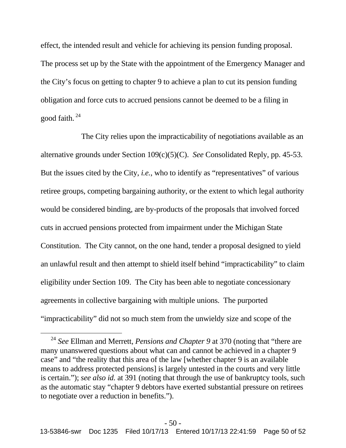effect, the intended result and vehicle for achieving its pension funding proposal. The process set up by the State with the appointment of the Emergency Manager and the City's focus on getting to chapter 9 to achieve a plan to cut its pension funding obligation and force cuts to accrued pensions cannot be deemed to be a filing in good faith. <sup>24</sup>

The City relies upon the impracticability of negotiations available as an alternative grounds under Section 109(c)(5)(C). *See* Consolidated Reply, pp. 45-53. But the issues cited by the City, *i.e.*, who to identify as "representatives" of various retiree groups, competing bargaining authority, or the extent to which legal authority would be considered binding, are by-products of the proposals that involved forced cuts in accrued pensions protected from impairment under the Michigan State Constitution. The City cannot, on the one hand, tender a proposal designed to yield an unlawful result and then attempt to shield itself behind "impracticability" to claim eligibility under Section 109. The City has been able to negotiate concessionary agreements in collective bargaining with multiple unions. The purported "impracticability" did not so much stem from the unwieldy size and scope of the

<sup>24</sup> *See* Ellman and Merrett, *Pensions and Chapter 9* at 370 (noting that "there are many unanswered questions about what can and cannot be achieved in a chapter 9 case" and "the reality that this area of the law [whether chapter 9 is an available means to address protected pensions] is largely untested in the courts and very little is certain."); *see also id.* at 391 (noting that through the use of bankruptcy tools, such as the automatic stay "chapter 9 debtors have exerted substantial pressure on retirees to negotiate over a reduction in benefits.").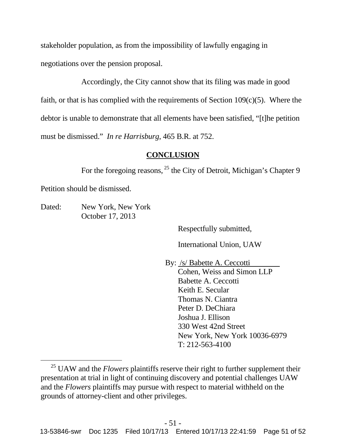stakeholder population, as from the impossibility of lawfully engaging in negotiations over the pension proposal.

Accordingly, the City cannot show that its filing was made in good faith, or that is has complied with the requirements of Section  $109(c)(5)$ . Where the debtor is unable to demonstrate that all elements have been satisfied, "[t]he petition must be dismissed." *In re Harrisburg*, 465 B.R. at 752.

## **CONCLUSION**

For the foregoing reasons, <sup>25</sup> the City of Detroit, Michigan's Chapter 9

Petition should be dismissed.

Dated: New York, New York October 17, 2013

Respectfully submitted,

International Union, UAW

By: /s/ Babette A. Ceccotti Cohen, Weiss and Simon LLP Babette A. Ceccotti Keith E. Secular Thomas N. Ciantra Peter D. DeChiara Joshua J. Ellison 330 West 42nd Street New York, New York 10036-6979 T: 212-563-4100

<sup>&</sup>lt;sup>25</sup> UAW and the *Flowers* plaintiffs reserve their right to further supplement their presentation at trial in light of continuing discovery and potential challenges UAW and the *Flowers* plaintiffs may pursue with respect to material withheld on the grounds of attorney-client and other privileges.